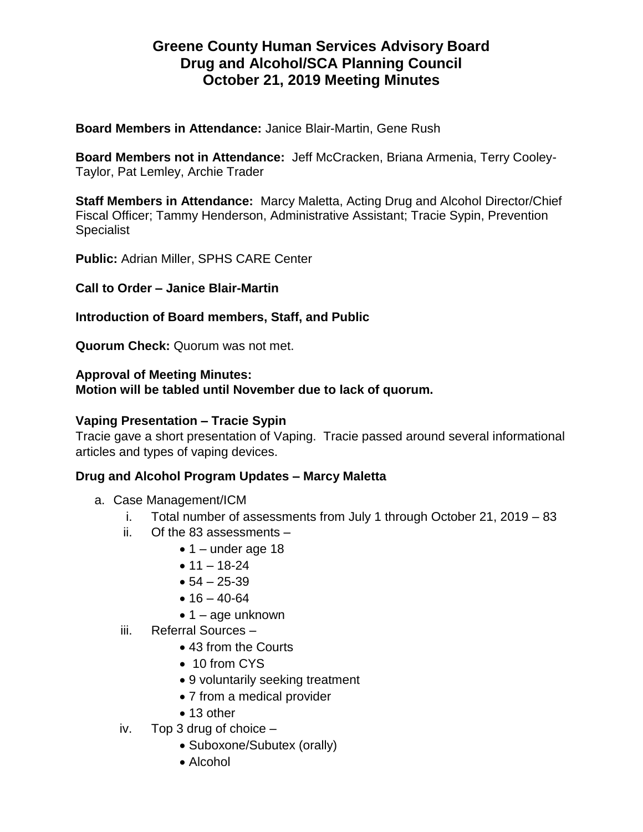# **Greene County Human Services Advisory Board Drug and Alcohol/SCA Planning Council October 21, 2019 Meeting Minutes**

**Board Members in Attendance:** Janice Blair-Martin, Gene Rush

**Board Members not in Attendance:** Jeff McCracken, Briana Armenia, Terry Cooley-Taylor, Pat Lemley, Archie Trader

**Staff Members in Attendance:** Marcy Maletta, Acting Drug and Alcohol Director/Chief Fiscal Officer; Tammy Henderson, Administrative Assistant; Tracie Sypin, Prevention **Specialist** 

**Public:** Adrian Miller, SPHS CARE Center

**Call to Order – Janice Blair-Martin**

## **Introduction of Board members, Staff, and Public**

**Quorum Check:** Quorum was not met.

#### **Approval of Meeting Minutes:**

**Motion will be tabled until November due to lack of quorum.**

## **Vaping Presentation – Tracie Sypin**

Tracie gave a short presentation of Vaping. Tracie passed around several informational articles and types of vaping devices.

# **Drug and Alcohol Program Updates – Marcy Maletta**

- a. Case Management/ICM
	- i. Total number of assessments from July 1 through October 21, 2019 83
	- ii. Of the 83 assessments
		- $\bullet$  1 under age 18
			- $11 18 24$
			- $54 25 39$
			- $16 40 64$
			- $\bullet$  1 age unknown
	- iii. Referral Sources
		- 43 from the Courts
		- 10 from CYS
		- 9 voluntarily seeking treatment
		- 7 from a medical provider
		- 13 other
	- iv. Top 3 drug of choice
		- Suboxone/Subutex (orally)
		- Alcohol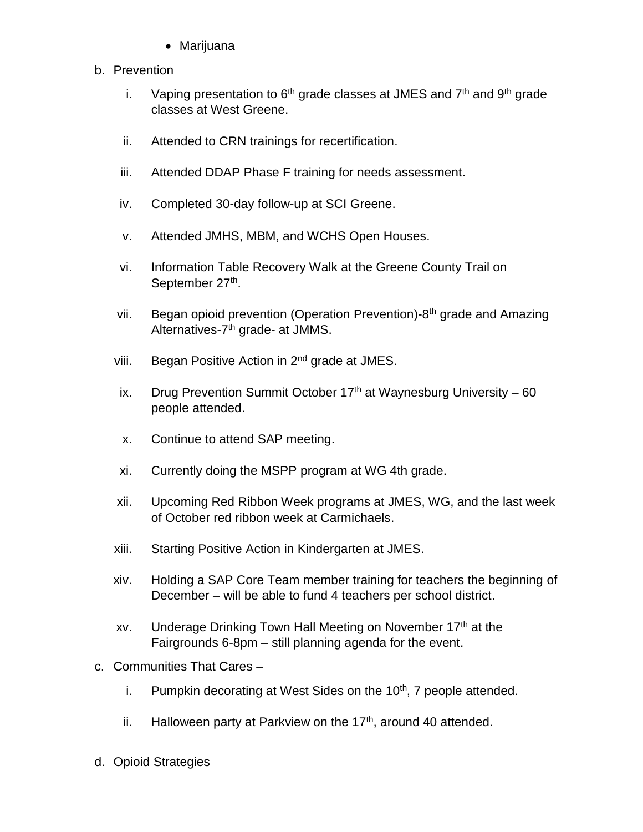Marijuana

## b. Prevention

- i. Vaping presentation to  $6<sup>th</sup>$  grade classes at JMES and  $7<sup>th</sup>$  and  $9<sup>th</sup>$  grade classes at West Greene.
- ii. Attended to CRN trainings for recertification.
- iii. Attended DDAP Phase F training for needs assessment.
- iv. Completed 30-day follow-up at SCI Greene.
- v. Attended JMHS, MBM, and WCHS Open Houses.
- vi. Information Table Recovery Walk at the Greene County Trail on September 27<sup>th</sup>.
- vii. Began opioid prevention (Operation Prevention)-8<sup>th</sup> grade and Amazing Alternatives-7<sup>th</sup> grade- at JMMS.
- viii. Began Positive Action in 2<sup>nd</sup> grade at JMES.
- ix. Drug Prevention Summit October  $17<sup>th</sup>$  at Waynesburg University 60 people attended.
- x. Continue to attend SAP meeting.
- xi. Currently doing the MSPP program at WG 4th grade.
- xii. Upcoming Red Ribbon Week programs at JMES, WG, and the last week of October red ribbon week at Carmichaels.
- xiii. Starting Positive Action in Kindergarten at JMES.
- xiv. Holding a SAP Core Team member training for teachers the beginning of December – will be able to fund 4 teachers per school district.
- xy. Underage Drinking Town Hall Meeting on November 17<sup>th</sup> at the Fairgrounds 6-8pm – still planning agenda for the event.
- c. Communities That Cares
	- i. Pumpkin decorating at West Sides on the  $10<sup>th</sup>$ , 7 people attended.
	- ii. Halloween party at Parkview on the  $17<sup>th</sup>$ , around 40 attended.
- d. Opioid Strategies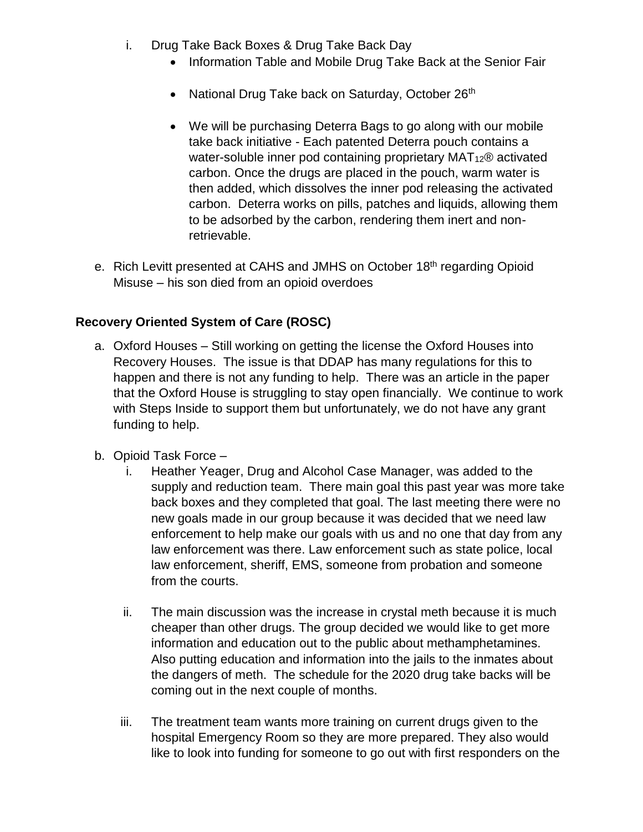- i. Drug Take Back Boxes & Drug Take Back Day
	- Information Table and Mobile Drug Take Back at the Senior Fair
	- National Drug Take back on Saturday, October 26<sup>th</sup>
	- We will be purchasing Deterra Bags to go along with our mobile take back initiative - Each patented Deterra pouch contains a water-soluble inner pod containing proprietary MAT<sub>12</sub>® activated carbon. Once the drugs are placed in the pouch, warm water is then added, which dissolves the inner pod releasing the activated carbon. Deterra works on pills, patches and liquids, allowing them to be adsorbed by the carbon, rendering them inert and nonretrievable.
- e. Rich Levitt presented at CAHS and JMHS on October 18<sup>th</sup> regarding Opioid Misuse – his son died from an opioid overdoes

# **Recovery Oriented System of Care (ROSC)**

- a. Oxford Houses Still working on getting the license the Oxford Houses into Recovery Houses. The issue is that DDAP has many regulations for this to happen and there is not any funding to help. There was an article in the paper that the Oxford House is struggling to stay open financially. We continue to work with Steps Inside to support them but unfortunately, we do not have any grant funding to help.
- b. Opioid Task Force
	- i. Heather Yeager, Drug and Alcohol Case Manager, was added to the supply and reduction team. There main goal this past year was more take back boxes and they completed that goal. The last meeting there were no new goals made in our group because it was decided that we need law enforcement to help make our goals with us and no one that day from any law enforcement was there. Law enforcement such as state police, local law enforcement, sheriff, EMS, someone from probation and someone from the courts.
	- ii. The main discussion was the increase in crystal meth because it is much cheaper than other drugs. The group decided we would like to get more information and education out to the public about methamphetamines. Also putting education and information into the jails to the inmates about the dangers of meth. The schedule for the 2020 drug take backs will be coming out in the next couple of months.
	- iii. The treatment team wants more training on current drugs given to the hospital Emergency Room so they are more prepared. They also would like to look into funding for someone to go out with first responders on the